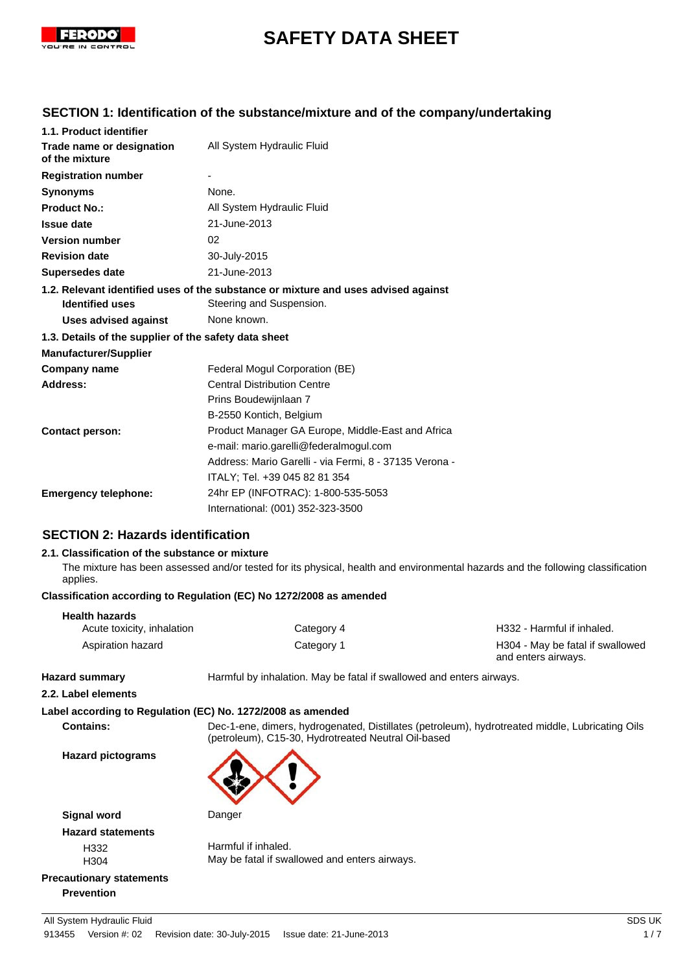

# **SAFETY DATA SHEET**

## **SECTION 1: Identification of the substance/mixture and of the company/undertaking**

| 1.1. Product identifier                               |                                                                                    |
|-------------------------------------------------------|------------------------------------------------------------------------------------|
| Trade name or designation<br>of the mixture           | All System Hydraulic Fluid                                                         |
| <b>Registration number</b>                            |                                                                                    |
| <b>Synonyms</b>                                       | None.                                                                              |
| <b>Product No.:</b>                                   | All System Hydraulic Fluid                                                         |
| <b>Issue date</b>                                     | 21-June-2013                                                                       |
| <b>Version number</b>                                 | 02                                                                                 |
| <b>Revision date</b>                                  | 30-July-2015                                                                       |
| <b>Supersedes date</b>                                | 21-June-2013                                                                       |
|                                                       | 1.2. Relevant identified uses of the substance or mixture and uses advised against |
| <b>Identified uses</b>                                | Steering and Suspension.                                                           |
| <b>Uses advised against</b>                           | None known.                                                                        |
| 1.3. Details of the supplier of the safety data sheet |                                                                                    |
| <b>Manufacturer/Supplier</b>                          |                                                                                    |
| Company name                                          | Federal Mogul Corporation (BE)                                                     |
| Address:                                              | <b>Central Distribution Centre</b>                                                 |
|                                                       | Prins Boudewijnlaan 7                                                              |
|                                                       | B-2550 Kontich, Belgium                                                            |
| <b>Contact person:</b>                                | Product Manager GA Europe, Middle-East and Africa                                  |
|                                                       | e-mail: mario.garelli@federalmogul.com                                             |
|                                                       | Address: Mario Garelli - via Fermi, 8 - 37135 Verona -                             |
|                                                       | ITALY; Tel. +39 045 82 81 354                                                      |
| <b>Emergency telephone:</b>                           | 24hr EP (INFOTRAC): 1-800-535-5053                                                 |
|                                                       | International: (001) 352-323-3500                                                  |

## **SECTION 2: Hazards identification**

#### **2.1. Classification of the substance or mixture**

The mixture has been assessed and/or tested for its physical, health and environmental hazards and the following classification applies.

#### **Classification according to Regulation (EC) No 1272/2008 as amended**

| <b>Health hazards</b>      |            |                                                         |
|----------------------------|------------|---------------------------------------------------------|
| Acute toxicity, inhalation | Category 4 | H332 - Harmful if inhaled.                              |
| Aspiration hazard          | Category 1 | H304 - May be fatal if swallowed<br>and enters airways. |

**Hazard summary Harmful by inhalation. May be fatal if swallowed and enters airways.** 

#### **2.2. Label elements**

## **Label according to Regulation (EC) No. 1272/2008 as amended**

**Contains:** Dec-1-ene, dimers, hydrogenated, Distillates (petroleum), hydrotreated middle, Lubricating Oils (petroleum), C15-30, Hydrotreated Neutral Oil-based

**Hazard pictograms**



**Signal word** Danger **Hazard statements**

H332 Harmful if inhaled.<br>H304 H304 May be fatal if swa May be fatal if swallowed and enters airways.

## **Precautionary statements Prevention**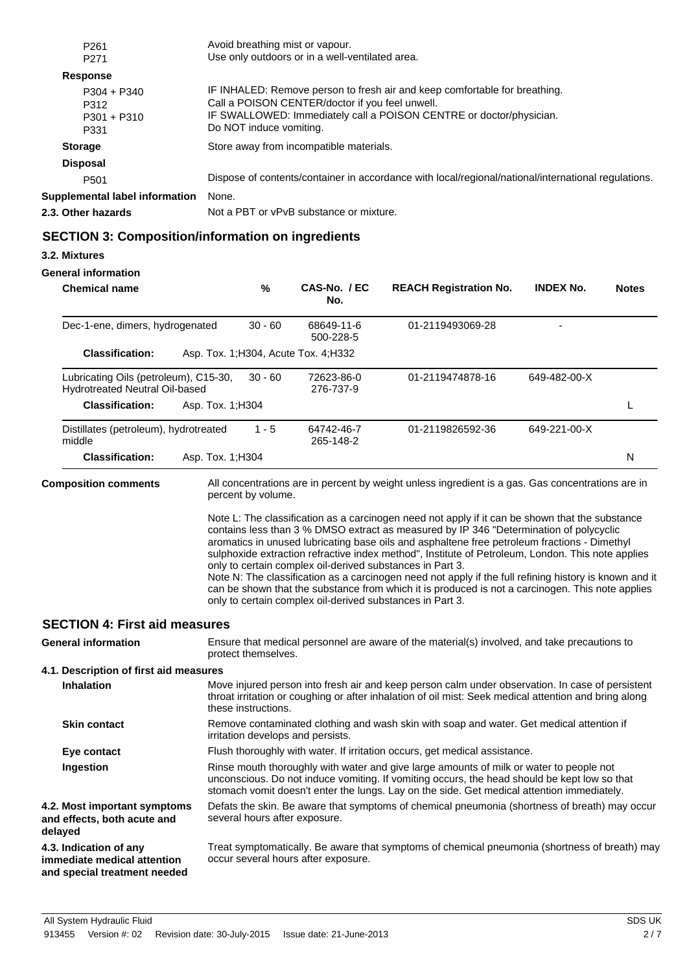| P <sub>261</sub>                               | Avoid breathing mist or vapour.                                                                                                                                                                                                 |
|------------------------------------------------|---------------------------------------------------------------------------------------------------------------------------------------------------------------------------------------------------------------------------------|
| P <sub>271</sub>                               | Use only outdoors or in a well-ventilated area.                                                                                                                                                                                 |
| <b>Response</b>                                |                                                                                                                                                                                                                                 |
| $P304 + P340$<br>P312<br>$P301 + P310$<br>P331 | IF INHALED: Remove person to fresh air and keep comfortable for breathing.<br>Call a POISON CENTER/doctor if you feel unwell.<br>IF SWALLOWED: Immediately call a POISON CENTRE or doctor/physician.<br>Do NOT induce vomiting. |
| <b>Storage</b>                                 | Store away from incompatible materials.                                                                                                                                                                                         |
| <b>Disposal</b>                                |                                                                                                                                                                                                                                 |
| P <sub>501</sub>                               | Dispose of contents/container in accordance with local/regional/national/international regulations.                                                                                                                             |
| Supplemental label information                 | None.                                                                                                                                                                                                                           |
| 2.3. Other hazards                             | Not a PBT or vPvB substance or mixture.                                                                                                                                                                                         |

## **SECTION 3: Composition/information on ingredients**

### **3.2. Mixtures**

### **General information**

|           | <b>Chemical name</b>                                                                  |                   | %                   | CAS-No. / EC<br>No.                                                                                                    | <b>REACH Registration No.</b>                                                                                                                                                                                                                                                                                                                                                                                                                                                                                                                                                                                | <b>INDEX No.</b> | <b>Notes</b> |
|-----------|---------------------------------------------------------------------------------------|-------------------|---------------------|------------------------------------------------------------------------------------------------------------------------|--------------------------------------------------------------------------------------------------------------------------------------------------------------------------------------------------------------------------------------------------------------------------------------------------------------------------------------------------------------------------------------------------------------------------------------------------------------------------------------------------------------------------------------------------------------------------------------------------------------|------------------|--------------|
|           | Dec-1-ene, dimers, hydrogenated                                                       |                   | $30 - 60$           | 68649-11-6<br>500-228-5                                                                                                | 01-2119493069-28                                                                                                                                                                                                                                                                                                                                                                                                                                                                                                                                                                                             |                  |              |
|           | <b>Classification:</b>                                                                |                   |                     | Asp. Tox. 1; H304, Acute Tox. 4; H332                                                                                  |                                                                                                                                                                                                                                                                                                                                                                                                                                                                                                                                                                                                              |                  |              |
|           | Lubricating Oils (petroleum), C15-30,<br>Hydrotreated Neutral Oil-based               |                   | $30 - 60$           | 72623-86-0<br>276-737-9                                                                                                | 01-2119474878-16                                                                                                                                                                                                                                                                                                                                                                                                                                                                                                                                                                                             | 649-482-00-X     |              |
|           | <b>Classification:</b>                                                                | Asp. Tox. 1; H304 |                     |                                                                                                                        |                                                                                                                                                                                                                                                                                                                                                                                                                                                                                                                                                                                                              |                  | L            |
| middle    | Distillates (petroleum), hydrotreated                                                 |                   | $1 - 5$             | 64742-46-7<br>265-148-2                                                                                                | 01-2119826592-36                                                                                                                                                                                                                                                                                                                                                                                                                                                                                                                                                                                             | 649-221-00-X     |              |
|           | <b>Classification:</b>                                                                | Asp. Tox. 1; H304 |                     |                                                                                                                        |                                                                                                                                                                                                                                                                                                                                                                                                                                                                                                                                                                                                              |                  | N            |
|           | <b>Composition comments</b>                                                           |                   | percent by volume.  |                                                                                                                        | All concentrations are in percent by weight unless ingredient is a gas. Gas concentrations are in                                                                                                                                                                                                                                                                                                                                                                                                                                                                                                            |                  |              |
|           |                                                                                       |                   |                     | only to certain complex oil-derived substances in Part 3.<br>only to certain complex oil-derived substances in Part 3. | Note L: The classification as a carcinogen need not apply if it can be shown that the substance<br>contains less than 3 % DMSO extract as measured by IP 346 "Determination of polycyclic<br>aromatics in unused lubricating base oils and asphaltene free petroleum fractions - Dimethyl<br>sulphoxide extraction refractive index method", Institute of Petroleum, London. This note applies<br>Note N: The classification as a carcinogen need not apply if the full refining history is known and it<br>can be shown that the substance from which it is produced is not a carcinogen. This note applies |                  |              |
|           | <b>SECTION 4: First aid measures</b>                                                  |                   |                     |                                                                                                                        |                                                                                                                                                                                                                                                                                                                                                                                                                                                                                                                                                                                                              |                  |              |
|           | <b>General information</b>                                                            |                   | protect themselves. |                                                                                                                        | Ensure that medical personnel are aware of the material(s) involved, and take precautions to                                                                                                                                                                                                                                                                                                                                                                                                                                                                                                                 |                  |              |
|           | 4.1. Description of first aid measures                                                |                   |                     |                                                                                                                        |                                                                                                                                                                                                                                                                                                                                                                                                                                                                                                                                                                                                              |                  |              |
|           | <b>Inhalation</b>                                                                     |                   | these instructions. |                                                                                                                        | Move injured person into fresh air and keep person calm under observation. In case of persistent<br>throat irritation or coughing or after inhalation of oil mist: Seek medical attention and bring along                                                                                                                                                                                                                                                                                                                                                                                                    |                  |              |
|           | <b>Skin contact</b>                                                                   |                   |                     | irritation develops and persists.                                                                                      | Remove contaminated clothing and wash skin with soap and water. Get medical attention if                                                                                                                                                                                                                                                                                                                                                                                                                                                                                                                     |                  |              |
|           | Eye contact                                                                           |                   |                     |                                                                                                                        | Flush thoroughly with water. If irritation occurs, get medical assistance.                                                                                                                                                                                                                                                                                                                                                                                                                                                                                                                                   |                  |              |
| Ingestion |                                                                                       |                   |                     |                                                                                                                        | Rinse mouth thoroughly with water and give large amounts of milk or water to people not<br>unconscious. Do not induce vomiting. If vomiting occurs, the head should be kept low so that<br>stomach vomit doesn't enter the lungs. Lay on the side. Get medical attention immediately.                                                                                                                                                                                                                                                                                                                        |                  |              |
| delayed   | 4.2. Most important symptoms<br>and effects, both acute and                           |                   |                     | several hours after exposure.                                                                                          | Defats the skin. Be aware that symptoms of chemical pneumonia (shortness of breath) may occur                                                                                                                                                                                                                                                                                                                                                                                                                                                                                                                |                  |              |
|           | 4.3. Indication of any<br>immediate medical attention<br>and special treatment needed |                   |                     | occur several hours after exposure.                                                                                    | Treat symptomatically. Be aware that symptoms of chemical pneumonia (shortness of breath) may                                                                                                                                                                                                                                                                                                                                                                                                                                                                                                                |                  |              |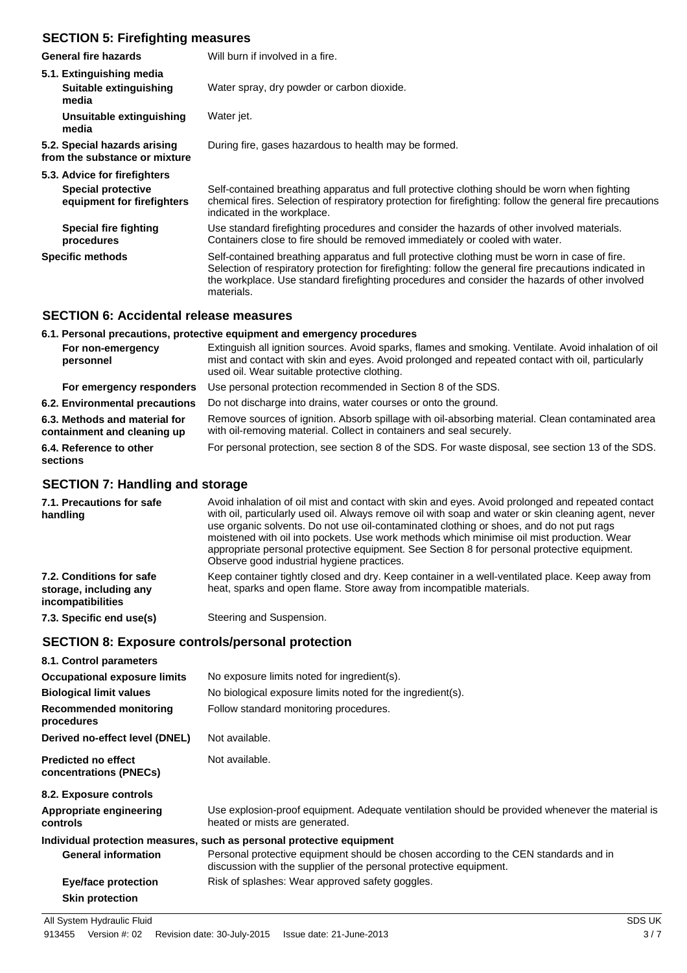## **SECTION 5: Firefighting measures**

| General fire hazards                                          | Will burn if involved in a fire.                                                                                                                                                                                                                                                                                        |
|---------------------------------------------------------------|-------------------------------------------------------------------------------------------------------------------------------------------------------------------------------------------------------------------------------------------------------------------------------------------------------------------------|
| 5.1. Extinguishing media                                      |                                                                                                                                                                                                                                                                                                                         |
| Suitable extinguishing<br>media                               | Water spray, dry powder or carbon dioxide.                                                                                                                                                                                                                                                                              |
| Unsuitable extinguishing<br>media                             | Water jet.                                                                                                                                                                                                                                                                                                              |
| 5.2. Special hazards arising<br>from the substance or mixture | During fire, gases hazardous to health may be formed.                                                                                                                                                                                                                                                                   |
| 5.3. Advice for firefighters                                  |                                                                                                                                                                                                                                                                                                                         |
| <b>Special protective</b><br>equipment for firefighters       | Self-contained breathing apparatus and full protective clothing should be worn when fighting<br>chemical fires. Selection of respiratory protection for firefighting: follow the general fire precautions<br>indicated in the workplace.                                                                                |
| Special fire fighting<br>procedures                           | Use standard firefighting procedures and consider the hazards of other involved materials.<br>Containers close to fire should be removed immediately or cooled with water.                                                                                                                                              |
| <b>Specific methods</b>                                       | Self-contained breathing apparatus and full protective clothing must be worn in case of fire.<br>Selection of respiratory protection for firefighting: follow the general fire precautions indicated in<br>the workplace. Use standard firefighting procedures and consider the hazards of other involved<br>materials. |

#### **SECTION 6: Accidental release measures**

#### **6.1. Personal precautions, protective equipment and emergency procedures** Extinguish all ignition sources. Avoid sparks, flames and smoking. Ventilate. Avoid inhalation of oil mist and contact with skin and eyes. Avoid prolonged and repeated contact with oil, particularly used oil. Wear suitable protective clothing. **For non-emergency personnel For emergency responders** Use personal protection recommended in Section 8 of the SDS. **6.2. Environmental precautions** Do not discharge into drains, water courses or onto the ground. Remove sources of ignition. Absorb spillage with oil-absorbing material. Clean contaminated area with oil-removing material. Collect in containers and seal securely. **6.3. Methods and material for containment and cleaning up 6.4. Reference to other** For personal protection, see section 8 of the SDS. For waste disposal, see section 13 of the SDS. **sections**

## **SECTION 7: Handling and storage**

| 7.1. Precautions for safe<br>handling                                          | Avoid inhalation of oil mist and contact with skin and eyes. Avoid prolonged and repeated contact<br>with oil, particularly used oil. Always remove oil with soap and water or skin cleaning agent, never<br>use organic solvents. Do not use oil-contaminated clothing or shoes, and do not put rags<br>moistened with oil into pockets. Use work methods which minimise oil mist production. Wear<br>appropriate personal protective equipment. See Section 8 for personal protective equipment.<br>Observe good industrial hygiene practices. |
|--------------------------------------------------------------------------------|--------------------------------------------------------------------------------------------------------------------------------------------------------------------------------------------------------------------------------------------------------------------------------------------------------------------------------------------------------------------------------------------------------------------------------------------------------------------------------------------------------------------------------------------------|
| 7.2. Conditions for safe<br>storage, including any<br><i>incompatibilities</i> | Keep container tightly closed and dry. Keep container in a well-ventilated place. Keep away from<br>heat, sparks and open flame. Store away from incompatible materials.                                                                                                                                                                                                                                                                                                                                                                         |
| 7.3. Specific end use(s)                                                       | Steering and Suspension.                                                                                                                                                                                                                                                                                                                                                                                                                                                                                                                         |

## **SECTION 8: Exposure controls/personal protection**

| 8.1. Control parameters                              |                                                                                                                                                            |
|------------------------------------------------------|------------------------------------------------------------------------------------------------------------------------------------------------------------|
| <b>Occupational exposure limits</b>                  | No exposure limits noted for ingredient(s).                                                                                                                |
| <b>Biological limit values</b>                       | No biological exposure limits noted for the ingredient(s).                                                                                                 |
| Recommended monitoring<br>procedures                 | Follow standard monitoring procedures.                                                                                                                     |
| Derived no-effect level (DNEL)                       | Not available.                                                                                                                                             |
| <b>Predicted no effect</b><br>concentrations (PNECs) | Not available.                                                                                                                                             |
| 8.2. Exposure controls                               |                                                                                                                                                            |
| Appropriate engineering<br>controls                  | Use explosion-proof equipment. Adequate ventilation should be provided whenever the material is<br>heated or mists are generated.                          |
|                                                      | Individual protection measures, such as personal protective equipment                                                                                      |
| <b>General information</b>                           | Personal protective equipment should be chosen according to the CEN standards and in<br>discussion with the supplier of the personal protective equipment. |
| Eye/face protection                                  | Risk of splashes: Wear approved safety goggles.                                                                                                            |
| <b>Skin protection</b>                               |                                                                                                                                                            |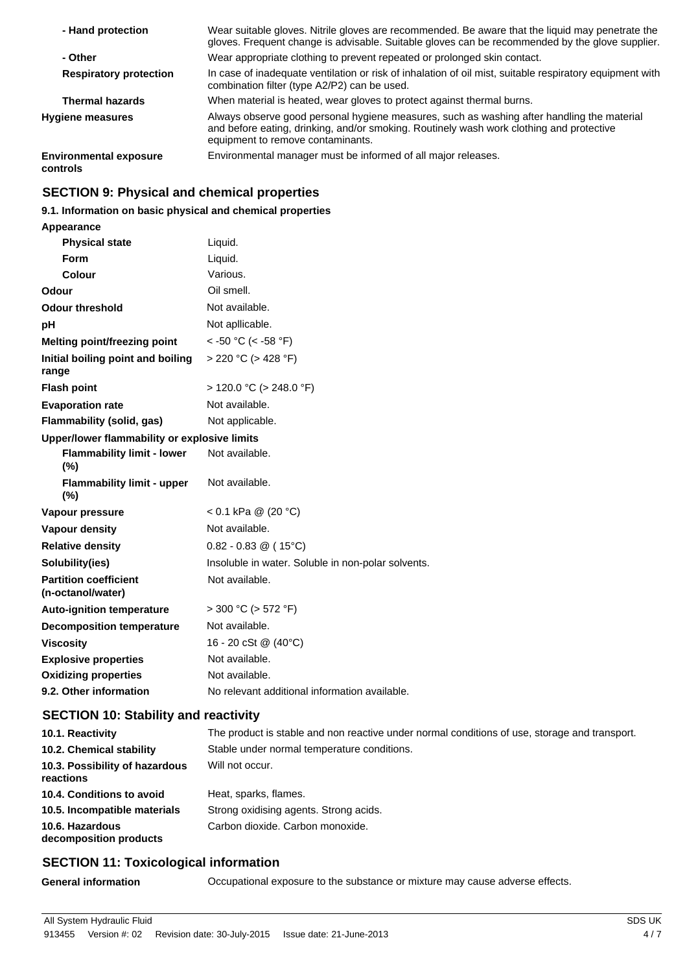| - Hand protection                         | Wear suitable gloves. Nitrile gloves are recommended. Be aware that the liquid may penetrate the<br>gloves. Frequent change is advisable. Suitable gloves can be recommended by the glove supplier.                         |
|-------------------------------------------|-----------------------------------------------------------------------------------------------------------------------------------------------------------------------------------------------------------------------------|
| - Other                                   | Wear appropriate clothing to prevent repeated or prolonged skin contact.                                                                                                                                                    |
| <b>Respiratory protection</b>             | In case of inadequate ventilation or risk of inhalation of oil mist, suitable respiratory equipment with<br>combination filter (type A2/P2) can be used.                                                                    |
| <b>Thermal hazards</b>                    | When material is heated, wear gloves to protect against thermal burns.                                                                                                                                                      |
| <b>Hygiene measures</b>                   | Always observe good personal hygiene measures, such as washing after handling the material<br>and before eating, drinking, and/or smoking. Routinely wash work clothing and protective<br>equipment to remove contaminants. |
| <b>Environmental exposure</b><br>controls | Environmental manager must be informed of all major releases.                                                                                                                                                               |

## **SECTION 9: Physical and chemical properties**

## **9.1. Information on basic physical and chemical properties**

**Appearance**

| <b>Physical state</b>                             | Liquid.                                            |
|---------------------------------------------------|----------------------------------------------------|
| Form                                              | Liquid.                                            |
| Colour                                            | Various.                                           |
| Odour                                             | Oil smell.                                         |
| <b>Odour threshold</b>                            | Not available.                                     |
| рH                                                | Not apllicable.                                    |
| Melting point/freezing point                      | $<$ -50 °C (< -58 °F)                              |
| Initial boiling point and boiling<br>range        | $> 220$ °C ( $> 428$ °F)                           |
| <b>Flash point</b>                                | $>$ 120.0 °C ( $>$ 248.0 °F)                       |
| <b>Evaporation rate</b>                           | Not available.                                     |
| Flammability (solid, gas)                         | Not applicable.                                    |
| Upper/lower flammability or explosive limits      |                                                    |
| <b>Flammability limit - lower</b><br>$(\% )$      | Not available.                                     |
| <b>Flammability limit - upper</b><br>$(\% )$      | Not available.                                     |
| Vapour pressure                                   | < 0.1 kPa @ (20 °C)                                |
| <b>Vapour density</b>                             | Not available.                                     |
| <b>Relative density</b>                           | $0.82 - 0.83 \circ (15^{\circ}C)$                  |
| Solubility(ies)                                   | Insoluble in water. Soluble in non-polar solvents. |
| <b>Partition coefficient</b><br>(n-octanol/water) | Not available.                                     |
| <b>Auto-ignition temperature</b>                  | $>$ 300 °C ( $>$ 572 °F)                           |
| <b>Decomposition temperature</b>                  | Not available.                                     |
| <b>Viscosity</b>                                  | 16 - 20 cSt @ (40°C)                               |
| <b>Explosive properties</b>                       | Not available.                                     |
| <b>Oxidizing properties</b>                       | Not available.                                     |
| 9.2. Other information                            | No relevant additional information available.      |

## **SECTION 10: Stability and reactivity**

| 10.1. Reactivity                            | The product is stable and non reactive under normal conditions of use, storage and transport. |
|---------------------------------------------|-----------------------------------------------------------------------------------------------|
| 10.2. Chemical stability                    | Stable under normal temperature conditions.                                                   |
| 10.3. Possibility of hazardous<br>reactions | Will not occur.                                                                               |
| 10.4. Conditions to avoid                   | Heat, sparks, flames.                                                                         |
| 10.5. Incompatible materials                | Strong oxidising agents. Strong acids.                                                        |
| 10.6. Hazardous<br>decomposition products   | Carbon dioxide. Carbon monoxide.                                                              |

## **SECTION 11: Toxicological information**

**General information** Occupational exposure to the substance or mixture may cause adverse effects.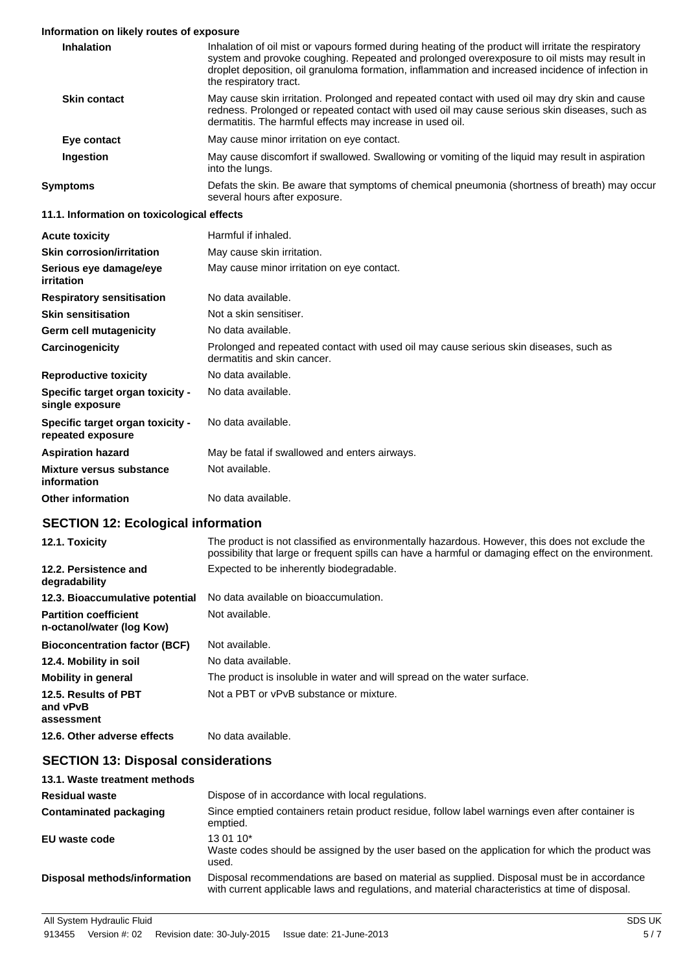#### **Information on likely routes of exposure**

| <b>Inhalation</b>                                     | Inhalation of oil mist or vapours formed during heating of the product will irritate the respiratory<br>system and provoke coughing. Repeated and prolonged overexposure to oil mists may result in<br>droplet deposition, oil granuloma formation, inflammation and increased incidence of infection in<br>the respiratory tract. |  |  |
|-------------------------------------------------------|------------------------------------------------------------------------------------------------------------------------------------------------------------------------------------------------------------------------------------------------------------------------------------------------------------------------------------|--|--|
| <b>Skin contact</b>                                   | May cause skin irritation. Prolonged and repeated contact with used oil may dry skin and cause<br>redness. Prolonged or repeated contact with used oil may cause serious skin diseases, such as<br>dermatitis. The harmful effects may increase in used oil.                                                                       |  |  |
| Eye contact                                           | May cause minor irritation on eye contact.                                                                                                                                                                                                                                                                                         |  |  |
| Ingestion                                             | May cause discomfort if swallowed. Swallowing or vomiting of the liquid may result in aspiration<br>into the lungs.                                                                                                                                                                                                                |  |  |
| <b>Symptoms</b>                                       | Defats the skin. Be aware that symptoms of chemical pneumonia (shortness of breath) may occur<br>several hours after exposure.                                                                                                                                                                                                     |  |  |
| 11.1. Information on toxicological effects            |                                                                                                                                                                                                                                                                                                                                    |  |  |
| <b>Acute toxicity</b>                                 | Harmful if inhaled.                                                                                                                                                                                                                                                                                                                |  |  |
| <b>Skin corrosion/irritation</b>                      | May cause skin irritation.                                                                                                                                                                                                                                                                                                         |  |  |
| Serious eye damage/eye<br>irritation                  | May cause minor irritation on eye contact.                                                                                                                                                                                                                                                                                         |  |  |
| <b>Respiratory sensitisation</b>                      | No data available.                                                                                                                                                                                                                                                                                                                 |  |  |
| <b>Skin sensitisation</b>                             | Not a skin sensitiser.                                                                                                                                                                                                                                                                                                             |  |  |
| Germ cell mutagenicity                                | No data available.                                                                                                                                                                                                                                                                                                                 |  |  |
| Carcinogenicity                                       | Prolonged and repeated contact with used oil may cause serious skin diseases, such as<br>dermatitis and skin cancer.                                                                                                                                                                                                               |  |  |
| <b>Reproductive toxicity</b>                          | No data available.                                                                                                                                                                                                                                                                                                                 |  |  |
| Specific target organ toxicity -<br>single exposure   | No data available.                                                                                                                                                                                                                                                                                                                 |  |  |
| Specific target organ toxicity -<br>repeated exposure | No data available.                                                                                                                                                                                                                                                                                                                 |  |  |
| <b>Aspiration hazard</b>                              | May be fatal if swallowed and enters airways.                                                                                                                                                                                                                                                                                      |  |  |
| <b>Mixture versus substance</b><br>information        | Not available.                                                                                                                                                                                                                                                                                                                     |  |  |
| <b>Other information</b>                              | No data available.                                                                                                                                                                                                                                                                                                                 |  |  |
|                                                       |                                                                                                                                                                                                                                                                                                                                    |  |  |

## **SECTION 12: Ecological information**

| 12.1. Toxicity                                            | The product is not classified as environmentally hazardous. However, this does not exclude the<br>possibility that large or frequent spills can have a harmful or damaging effect on the environment. |
|-----------------------------------------------------------|-------------------------------------------------------------------------------------------------------------------------------------------------------------------------------------------------------|
| 12.2. Persistence and<br>degradability                    | Expected to be inherently biodegradable.                                                                                                                                                              |
| 12.3. Bioaccumulative potential                           | No data available on bioaccumulation.                                                                                                                                                                 |
| <b>Partition coefficient</b><br>n-octanol/water (log Kow) | Not available.                                                                                                                                                                                        |
| <b>Bioconcentration factor (BCF)</b>                      | Not available.                                                                                                                                                                                        |
| 12.4. Mobility in soil                                    | No data available.                                                                                                                                                                                    |
| <b>Mobility in general</b>                                | The product is insoluble in water and will spread on the water surface.                                                                                                                               |
| 12.5. Results of PBT<br>and vPvB<br>assessment            | Not a PBT or vPvB substance or mixture.                                                                                                                                                               |
| 12.6. Other adverse effects                               | No data available.                                                                                                                                                                                    |

## **SECTION 13: Disposal considerations**

| 13.1. Waste treatment methods |                                                                                                                                                                                               |
|-------------------------------|-----------------------------------------------------------------------------------------------------------------------------------------------------------------------------------------------|
| <b>Residual waste</b>         | Dispose of in accordance with local regulations.                                                                                                                                              |
| Contaminated packaging        | Since emptied containers retain product residue, follow label warnings even after container is<br>emptied.                                                                                    |
| EU waste code                 | $13.01.10*$<br>Waste codes should be assigned by the user based on the application for which the product was<br>used.                                                                         |
| Disposal methods/information  | Disposal recommendations are based on material as supplied. Disposal must be in accordance<br>with current applicable laws and regulations, and material characteristics at time of disposal. |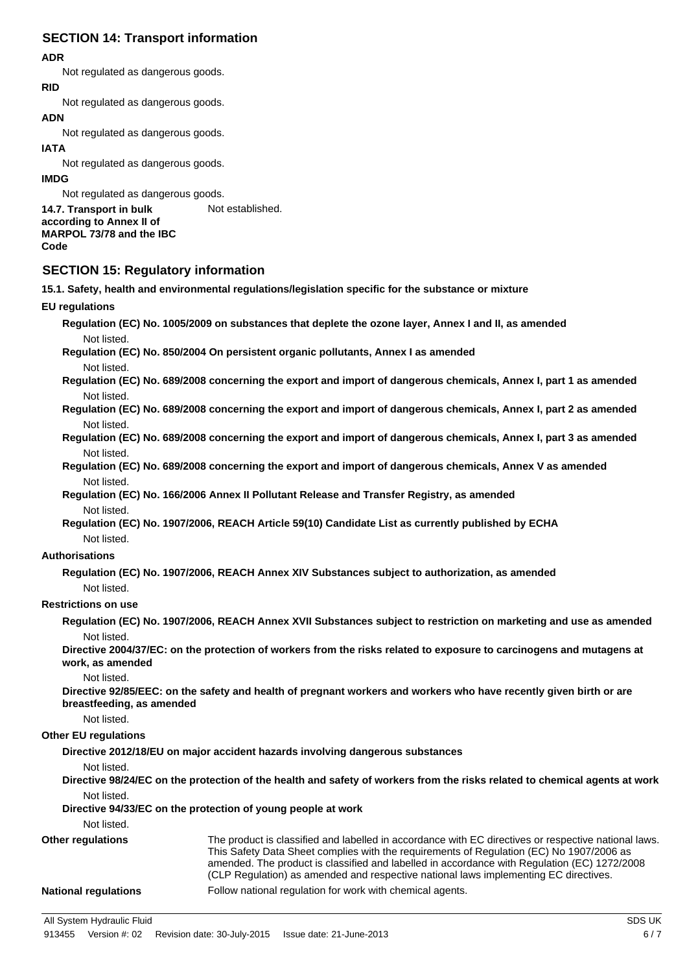## **SECTION 14: Transport information**

### **ADR**

Not regulated as dangerous goods.

#### **RID**

Not regulated as dangerous goods.

## **ADN**

Not regulated as dangerous goods.

#### **IATA**

Not regulated as dangerous goods.

#### **IMDG**

Not regulated as dangerous goods. **14.7. Transport in bulk** Not established. **according to Annex II of MARPOL 73/78 and the IBC Code**

## **SECTION 15: Regulatory information**

**15.1. Safety, health and environmental regulations/legislation specific for the substance or mixture**

#### **EU regulations**

**Regulation (EC) No. 1005/2009 on substances that deplete the ozone layer, Annex I and II, as amended** Not listed.

**Regulation (EC) No. 850/2004 On persistent organic pollutants, Annex I as amended** Not listed.

**Regulation (EC) No. 689/2008 concerning the export and import of dangerous chemicals, Annex I, part 1 as amended** Not listed.

**Regulation (EC) No. 689/2008 concerning the export and import of dangerous chemicals, Annex I, part 2 as amended** Not listed.

**Regulation (EC) No. 689/2008 concerning the export and import of dangerous chemicals, Annex I, part 3 as amended** Not listed.

**Regulation (EC) No. 689/2008 concerning the export and import of dangerous chemicals, Annex V as amended** Not listed.

**Regulation (EC) No. 166/2006 Annex II Pollutant Release and Transfer Registry, as amended** Not listed.

**Regulation (EC) No. 1907/2006, REACH Article 59(10) Candidate List as currently published by ECHA** Not listed.

#### **Authorisations**

**Regulation (EC) No. 1907/2006, REACH Annex XIV Substances subject to authorization, as amended** Not listed.

#### **Restrictions on use**

**Regulation (EC) No. 1907/2006, REACH Annex XVII Substances subject to restriction on marketing and use as amended** Not listed.

**Directive 2004/37/EC: on the protection of workers from the risks related to exposure to carcinogens and mutagens at work, as amended**

Not listed.

**Directive 92/85/EEC: on the safety and health of pregnant workers and workers who have recently given birth or are breastfeeding, as amended**

Not listed.

## **Other EU regulations**

**Directive 2012/18/EU on major accident hazards involving dangerous substances**

Not listed.

**Directive 98/24/EC on the protection of the health and safety of workers from the risks related to chemical agents at work** Not listed.

**Directive 94/33/EC on the protection of young people at work**

Not listed.

The product is classified and labelled in accordance with EC directives or respective national laws. This Safety Data Sheet complies with the requirements of Regulation (EC) No 1907/2006 as amended. The product is classified and labelled in accordance with Regulation (EC) 1272/2008 (CLP Regulation) as amended and respective national laws implementing EC directives. **Other regulations National regulations** Follow national regulation for work with chemical agents.

All System Hydraulic Fluid SDS UK